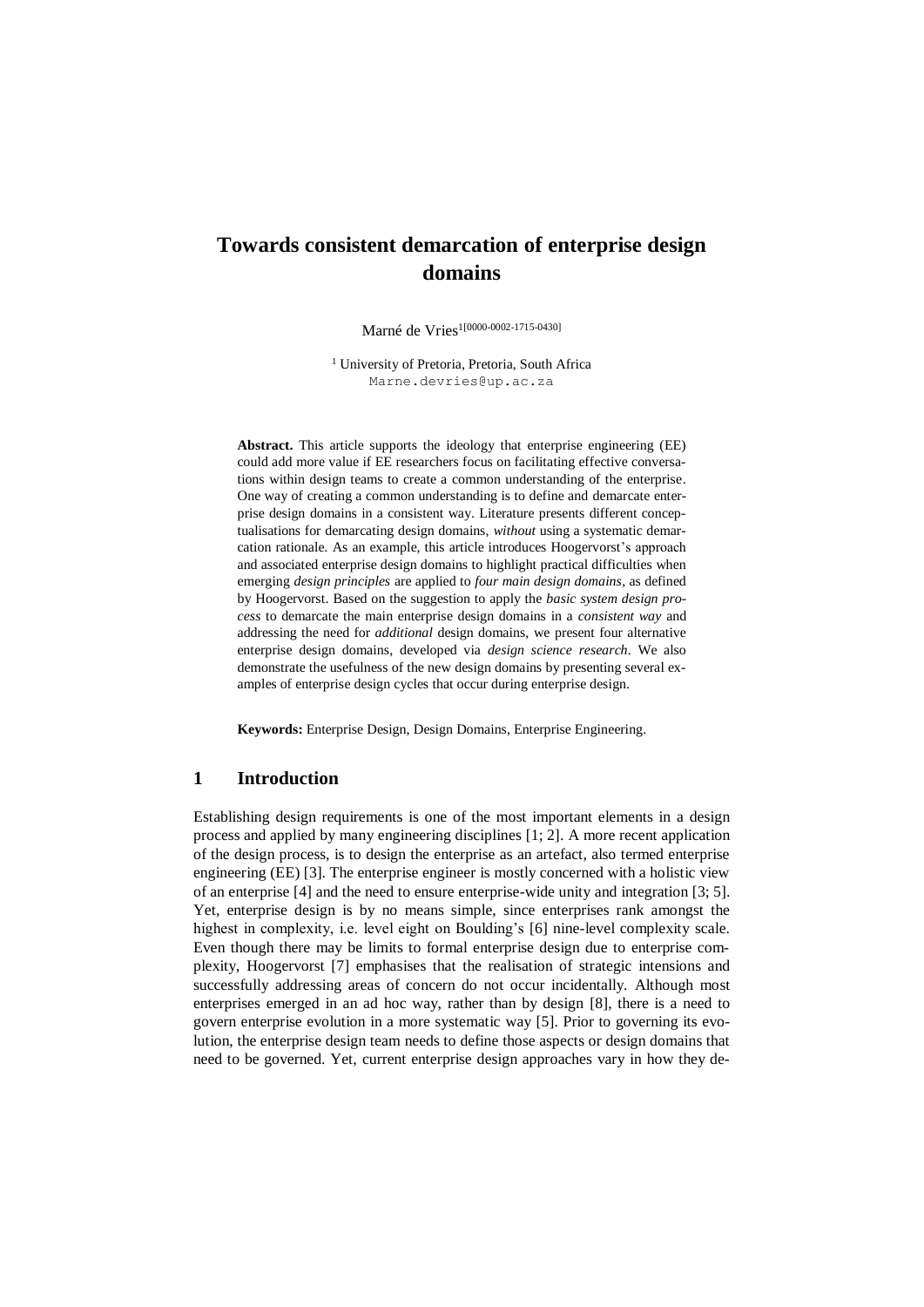# **Towards consistent demarcation of enterprise design domains**

Marné de Vries1[0000-0002-1715-0430]

<sup>1</sup> University of Pretoria, Pretoria, South Africa Marne.devries@up.ac.za

**Abstract.** This article supports the ideology that enterprise engineering (EE) could add more value if EE researchers focus on facilitating effective conversations within design teams to create a common understanding of the enterprise. One way of creating a common understanding is to define and demarcate enterprise design domains in a consistent way. Literature presents different conceptualisations for demarcating design domains, *without* using a systematic demarcation rationale. As an example, this article introduces Hoogervorst's approach and associated enterprise design domains to highlight practical difficulties when emerging *design principles* are applied to *four main design domains*, as defined by Hoogervorst. Based on the suggestion to apply the *basic system design process* to demarcate the main enterprise design domains in a *consistent way* and addressing the need for *additional* design domains, we present four alternative enterprise design domains, developed via *design science research*. We also demonstrate the usefulness of the new design domains by presenting several examples of enterprise design cycles that occur during enterprise design.

**Keywords:** Enterprise Design, Design Domains, Enterprise Engineering.

## **1 Introduction**

Establishing design requirements is one of the most important elements in a design process and applied by many engineering disciplines [1; 2]. A more recent application of the design process, is to design the enterprise as an artefact, also termed enterprise engineering (EE) [3]. The enterprise engineer is mostly concerned with a holistic view of an enterprise [4] and the need to ensure enterprise-wide unity and integration [3; 5]. Yet, enterprise design is by no means simple, since enterprises rank amongst the highest in complexity, i.e. level eight on Boulding's [6] nine-level complexity scale. Even though there may be limits to formal enterprise design due to enterprise complexity, Hoogervorst [7] emphasises that the realisation of strategic intensions and successfully addressing areas of concern do not occur incidentally. Although most enterprises emerged in an ad hoc way, rather than by design [8], there is a need to govern enterprise evolution in a more systematic way [5]. Prior to governing its evolution, the enterprise design team needs to define those aspects or design domains that need to be governed. Yet, current enterprise design approaches vary in how they de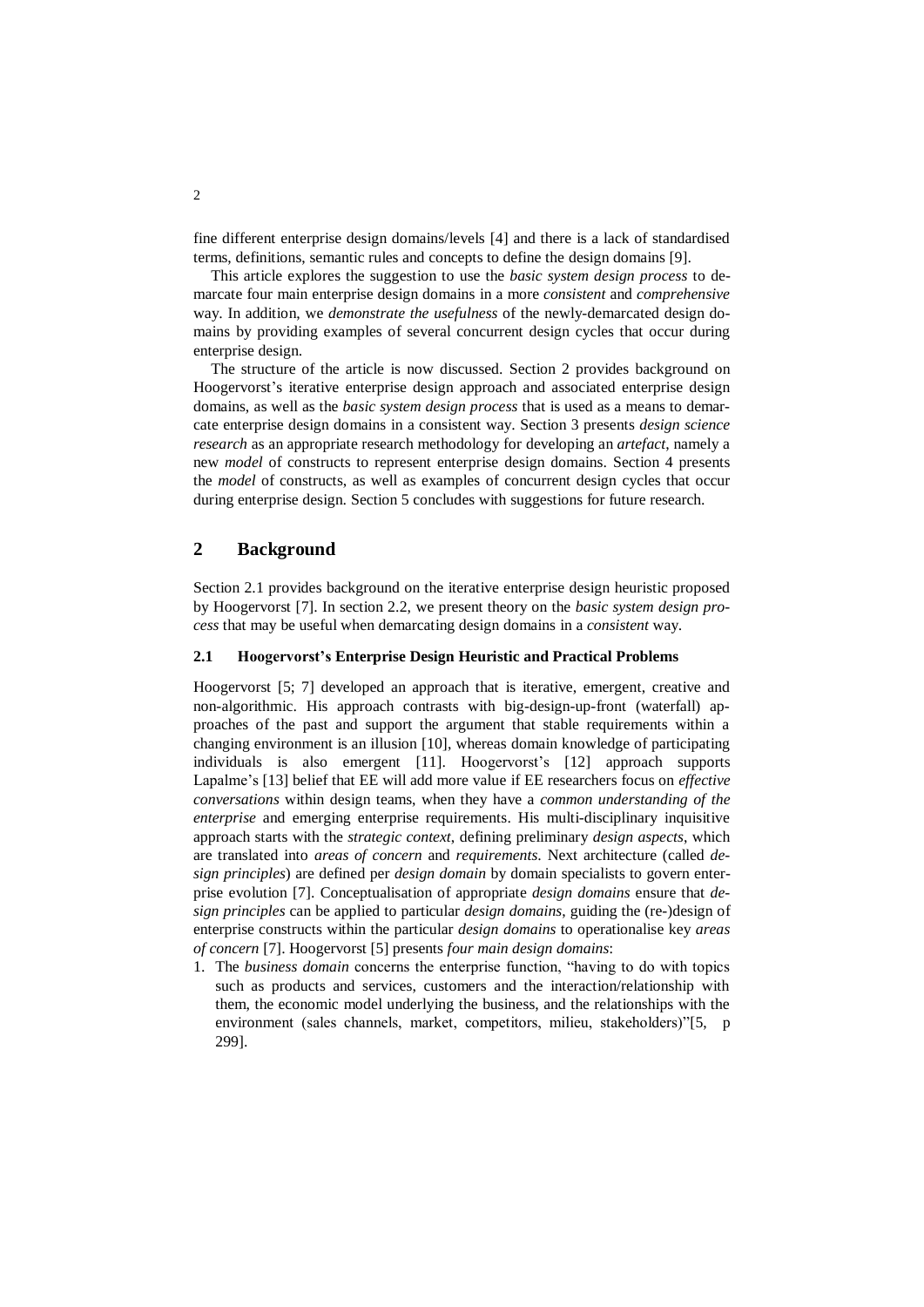fine different enterprise design domains/levels [4] and there is a lack of standardised terms, definitions, semantic rules and concepts to define the design domains [9].

This article explores the suggestion to use the *basic system design process* to demarcate four main enterprise design domains in a more *consistent* and *comprehensive* way. In addition, we *demonstrate the usefulness* of the newly-demarcated design domains by providing examples of several concurrent design cycles that occur during enterprise design.

The structure of the article is now discussed. Section 2 provides background on Hoogervorst's iterative enterprise design approach and associated enterprise design domains, as well as the *basic system design process* that is used as a means to demarcate enterprise design domains in a consistent way. Section 3 presents *design science research* as an appropriate research methodology for developing an *artefact*, namely a new *model* of constructs to represent enterprise design domains. Section 4 presents the *model* of constructs, as well as examples of concurrent design cycles that occur during enterprise design. Section 5 concludes with suggestions for future research.

### **2 Background**

Section 2.1 provides background on the iterative enterprise design heuristic proposed by Hoogervorst [7]. In section 2.2, we present theory on the *basic system design process* that may be useful when demarcating design domains in a *consistent* way.

#### **2.1 Hoogervorst's Enterprise Design Heuristic and Practical Problems**

Hoogervorst [5; 7] developed an approach that is iterative, emergent, creative and non-algorithmic. His approach contrasts with big-design-up-front (waterfall) approaches of the past and support the argument that stable requirements within a changing environment is an illusion [10], whereas domain knowledge of participating individuals is also emergent [11]. Hoogervorst's [12] approach supports Lapalme's [13] belief that EE will add more value if EE researchers focus on *effective conversations* within design teams, when they have a *common understanding of the enterprise* and emerging enterprise requirements. His multi-disciplinary inquisitive approach starts with the *strategic context*, defining preliminary *design aspects*, which are translated into *areas of concern* and *requirements*. Next architecture (called *design principles*) are defined per *design domain* by domain specialists to govern enterprise evolution [7]. Conceptualisation of appropriate *design domains* ensure that *design principles* can be applied to particular *design domains*, guiding the (re-)design of enterprise constructs within the particular *design domains* to operationalise key *areas of concern* [7]. Hoogervorst [5] presents *four main design domains*:

1. The *business domain* concerns the enterprise function, "having to do with topics such as products and services, customers and the interaction/relationship with them, the economic model underlying the business, and the relationships with the environment (sales channels, market, competitors, milieu, stakeholders)"[5, p 299].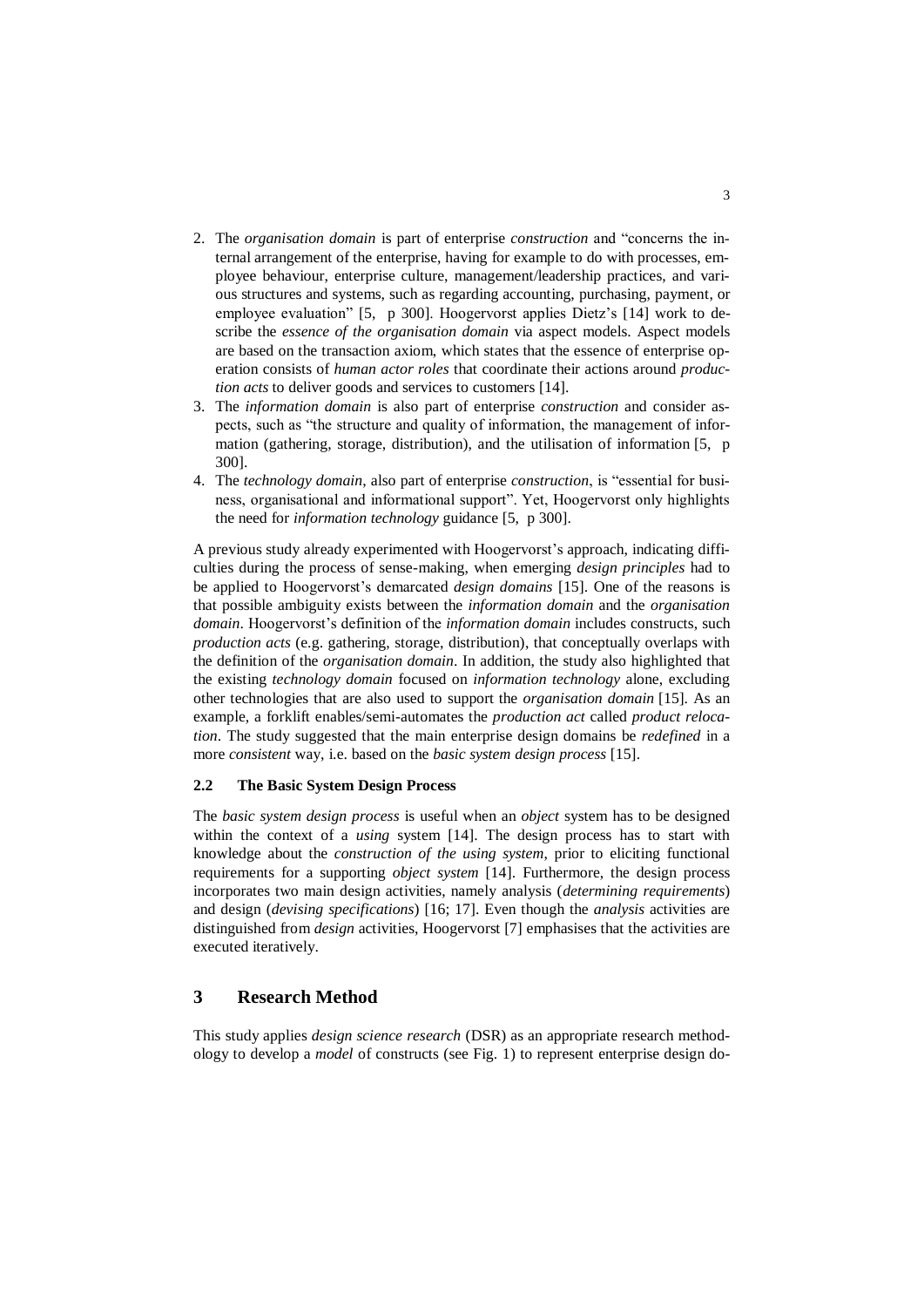- 2. The *organisation domain* is part of enterprise *construction* and "concerns the internal arrangement of the enterprise, having for example to do with processes, employee behaviour, enterprise culture, management/leadership practices, and various structures and systems, such as regarding accounting, purchasing, payment, or employee evaluation" [5, p 300]. Hoogervorst applies Dietz's [14] work to describe the *essence of the organisation domain* via aspect models. Aspect models are based on the transaction axiom, which states that the essence of enterprise operation consists of *human actor roles* that coordinate their actions around *production acts* to deliver goods and services to customers [14].
- 3. The *information domain* is also part of enterprise *construction* and consider aspects, such as "the structure and quality of information, the management of information (gathering, storage, distribution), and the utilisation of information [5, p 300].
- 4. The *technology domain*, also part of enterprise *construction*, is "essential for business, organisational and informational support". Yet, Hoogervorst only highlights the need for *information technology* guidance [5, p 300].

A previous study already experimented with Hoogervorst's approach, indicating difficulties during the process of sense-making, when emerging *design principles* had to be applied to Hoogervorst's demarcated *design domains* [15]. One of the reasons is that possible ambiguity exists between the *information domain* and the *organisation domain*. Hoogervorst's definition of the *information domain* includes constructs, such *production acts* (e.g. gathering, storage, distribution), that conceptually overlaps with the definition of the *organisation domain*. In addition, the study also highlighted that the existing *technology domain* focused on *information technology* alone, excluding other technologies that are also used to support the *organisation domain* [15]. As an example, a forklift enables/semi-automates the *production act* called *product relocation*. The study suggested that the main enterprise design domains be *redefined* in a more *consistent* way, i.e. based on the *basic system design process* [15].

#### **2.2 The Basic System Design Process**

The *basic system design process* is useful when an *object* system has to be designed within the context of a *using* system [14]. The design process has to start with knowledge about the *construction of the using system*, prior to eliciting functional requirements for a supporting *object system* [14]. Furthermore, the design process incorporates two main design activities, namely analysis (*determining requirements*) and design (*devising specifications*) [16; 17]. Even though the *analysis* activities are distinguished from *design* activities, Hoogervorst [7] emphasises that the activities are executed iteratively.

# **3 Research Method**

This study applies *design science research* (DSR) as an appropriate research methodology to develop a *model* of constructs (see [Fig. 1\)](#page-5-0) to represent enterprise design do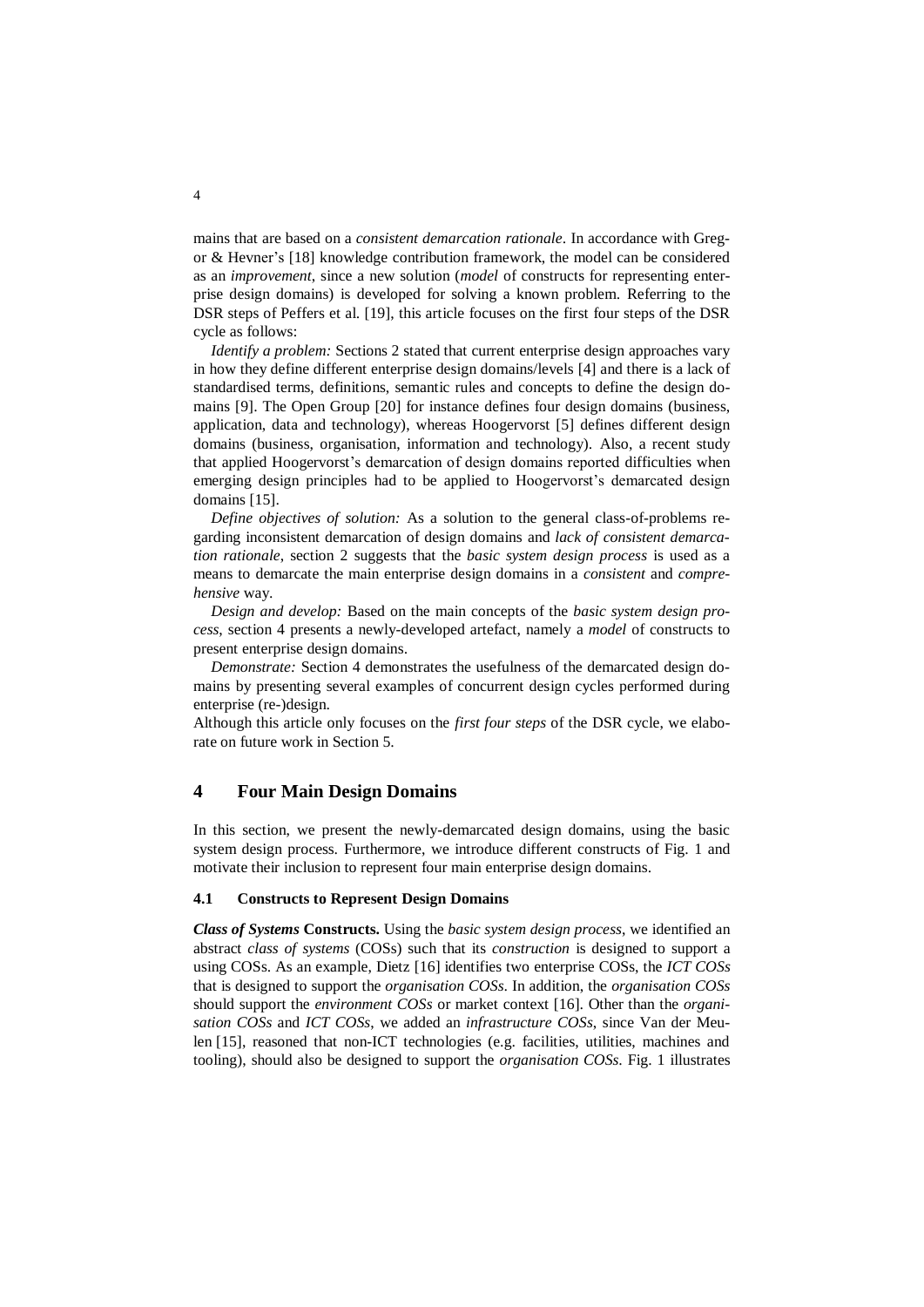mains that are based on a *consistent demarcation rationale*. In accordance with Gregor & Hevner's [18] knowledge contribution framework, the model can be considered as an *improvement*, since a new solution (*model* of constructs for representing enterprise design domains) is developed for solving a known problem. Referring to the DSR steps of Peffers et al. [19], this article focuses on the first four steps of the DSR cycle as follows:

*Identify a problem:* Sections 2 stated that current enterprise design approaches vary in how they define different enterprise design domains/levels [4] and there is a lack of standardised terms, definitions, semantic rules and concepts to define the design domains [9]. The Open Group [20] for instance defines four design domains (business, application, data and technology), whereas Hoogervorst [5] defines different design domains (business, organisation, information and technology). Also, a recent study that applied Hoogervorst's demarcation of design domains reported difficulties when emerging design principles had to be applied to Hoogervorst's demarcated design domains [15].

*Define objectives of solution:* As a solution to the general class-of-problems regarding inconsistent demarcation of design domains and *lack of consistent demarcation rationale*, section 2 suggests that the *basic system design process* is used as a means to demarcate the main enterprise design domains in a *consistent* and *comprehensive* way.

*Design and develop:* Based on the main concepts of the *basic system design process*, section 4 presents a newly-developed artefact, namely a *model* of constructs to present enterprise design domains.

*Demonstrate:* Section 4 demonstrates the usefulness of the demarcated design domains by presenting several examples of concurrent design cycles performed during enterprise (re-)design.

Although this article only focuses on the *first four steps* of the DSR cycle, we elaborate on future work in Section [5.](#page-8-0)

### **4 Four Main Design Domains**

In this section, we present the newly-demarcated design domains, using the basic system design process. Furthermore, we introduce different constructs of [Fig. 1](#page-5-0) and motivate their inclusion to represent four main enterprise design domains.

#### **4.1 Constructs to Represent Design Domains**

*Class of Systems* **Constructs.** Using the *basic system design process*, we identified an abstract *class of systems* (COSs) such that its *construction* is designed to support a using COSs. As an example, Dietz [16] identifies two enterprise COSs, the *ICT COSs* that is designed to support the *organisation COSs*. In addition, the *organisation COSs* should support the *environment COSs* or market context [16]. Other than the *organisation COSs* and *ICT COSs*, we added an *infrastructure COSs*, since Van der Meulen [15], reasoned that non-ICT technologies (e.g. facilities, utilities, machines and tooling), should also be designed to support the *organisation COSs*. [Fig. 1](#page-5-0) illustrates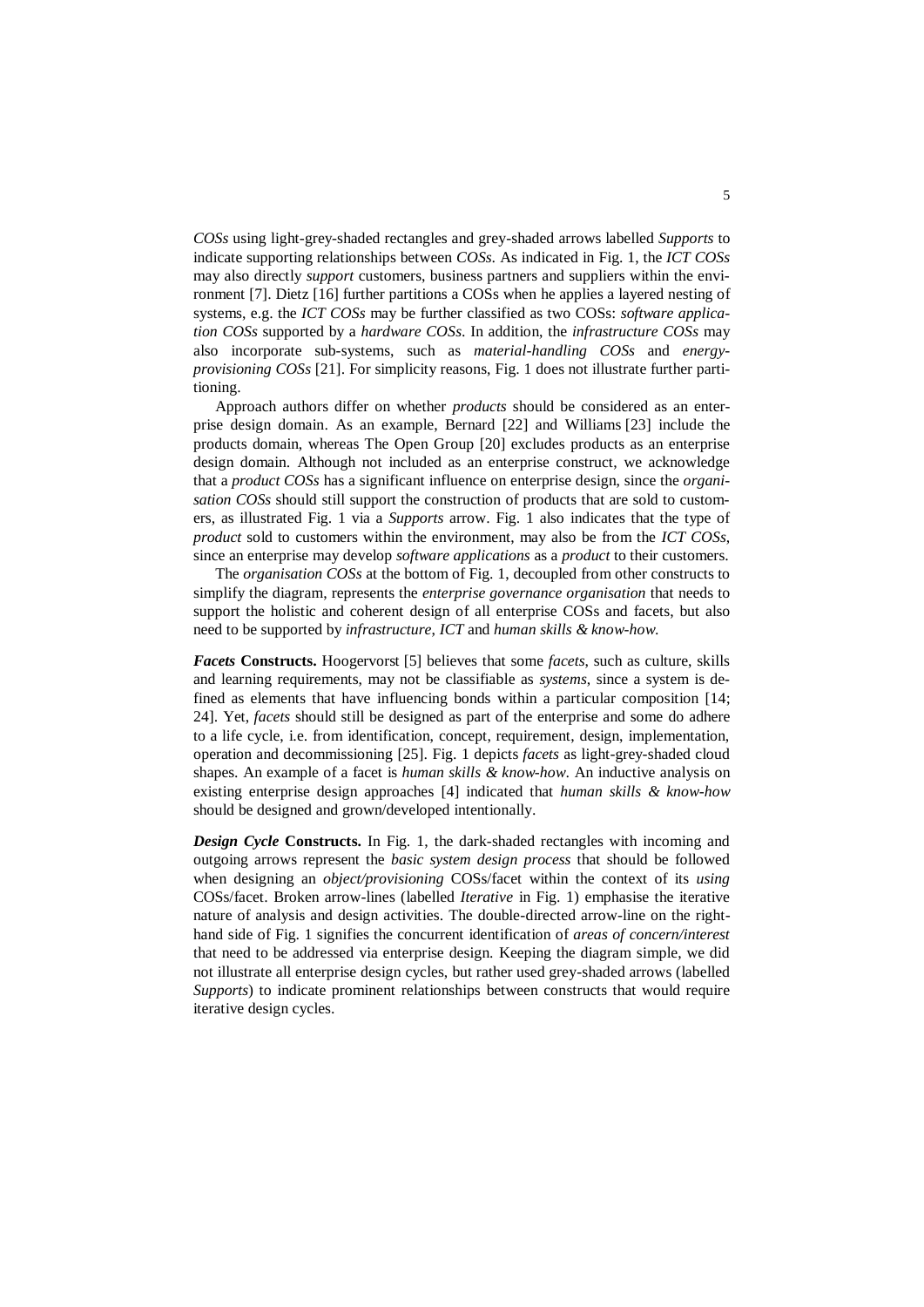*COSs* using light-grey-shaded rectangles and grey-shaded arrows labelled *Supports* to indicate supporting relationships between *COSs*. As indicated in [Fig. 1,](#page-5-0) the *ICT COSs* may also directly *support* customers, business partners and suppliers within the environment [7]. Dietz [16] further partitions a COSs when he applies a layered nesting of systems, e.g. the *ICT COSs* may be further classified as two COSs: *software application COSs* supported by a *hardware COSs*. In addition, the *infrastructure COSs* may also incorporate sub-systems, such as *material-handling COSs* and *energyprovisioning COSs* [21]. For simplicity reasons, [Fig. 1](#page-5-0) does not illustrate further partitioning.

Approach authors differ on whether *products* should be considered as an enterprise design domain. As an example, Bernard [22] and Williams [23] include the products domain, whereas The Open Group [20] excludes products as an enterprise design domain. Although not included as an enterprise construct, we acknowledge that a *product COSs* has a significant influence on enterprise design, since the *organisation COSs* should still support the construction of products that are sold to customers, as illustrated [Fig. 1](#page-5-0) via a *Supports* arrow. [Fig. 1](#page-5-0) also indicates that the type of *product* sold to customers within the environment, may also be from the *ICT COSs*, since an enterprise may develop *software applications* as a *product* to their customers.

The *organisation COSs* at the bottom of [Fig. 1,](#page-5-0) decoupled from other constructs to simplify the diagram, represents the *enterprise governance organisation* that needs to support the holistic and coherent design of all enterprise COSs and facets, but also need to be supported by *infrastructure*, *ICT* and *human skills & know-how*.

*Facets* **Constructs.** Hoogervorst [5] believes that some *facets*, such as culture, skills and learning requirements, may not be classifiable as *systems*, since a system is defined as elements that have influencing bonds within a particular composition [14; 24]. Yet, *facets* should still be designed as part of the enterprise and some do adhere to a life cycle, i.e. from identification, concept, requirement, design, implementation, operation and decommissioning [25]. [Fig. 1](#page-5-0) depicts *facets* as light-grey-shaded cloud shapes. An example of a facet is *human skills & know-how*. An inductive analysis on existing enterprise design approaches [4] indicated that *human skills & know-how* should be designed and grown/developed intentionally.

*Design Cycle* **Constructs.** In [Fig. 1,](#page-5-0) the dark-shaded rectangles with incoming and outgoing arrows represent the *basic system design process* that should be followed when designing an *object/provisioning* COSs/facet within the context of its *using*  COSs/facet. Broken arrow-lines (labelled *Iterative* in [Fig. 1\)](#page-5-0) emphasise the iterative nature of analysis and design activities. The double-directed arrow-line on the righthand side of [Fig. 1](#page-5-0) signifies the concurrent identification of *areas of concern/interest* that need to be addressed via enterprise design. Keeping the diagram simple, we did not illustrate all enterprise design cycles, but rather used grey-shaded arrows (labelled *Supports*) to indicate prominent relationships between constructs that would require iterative design cycles.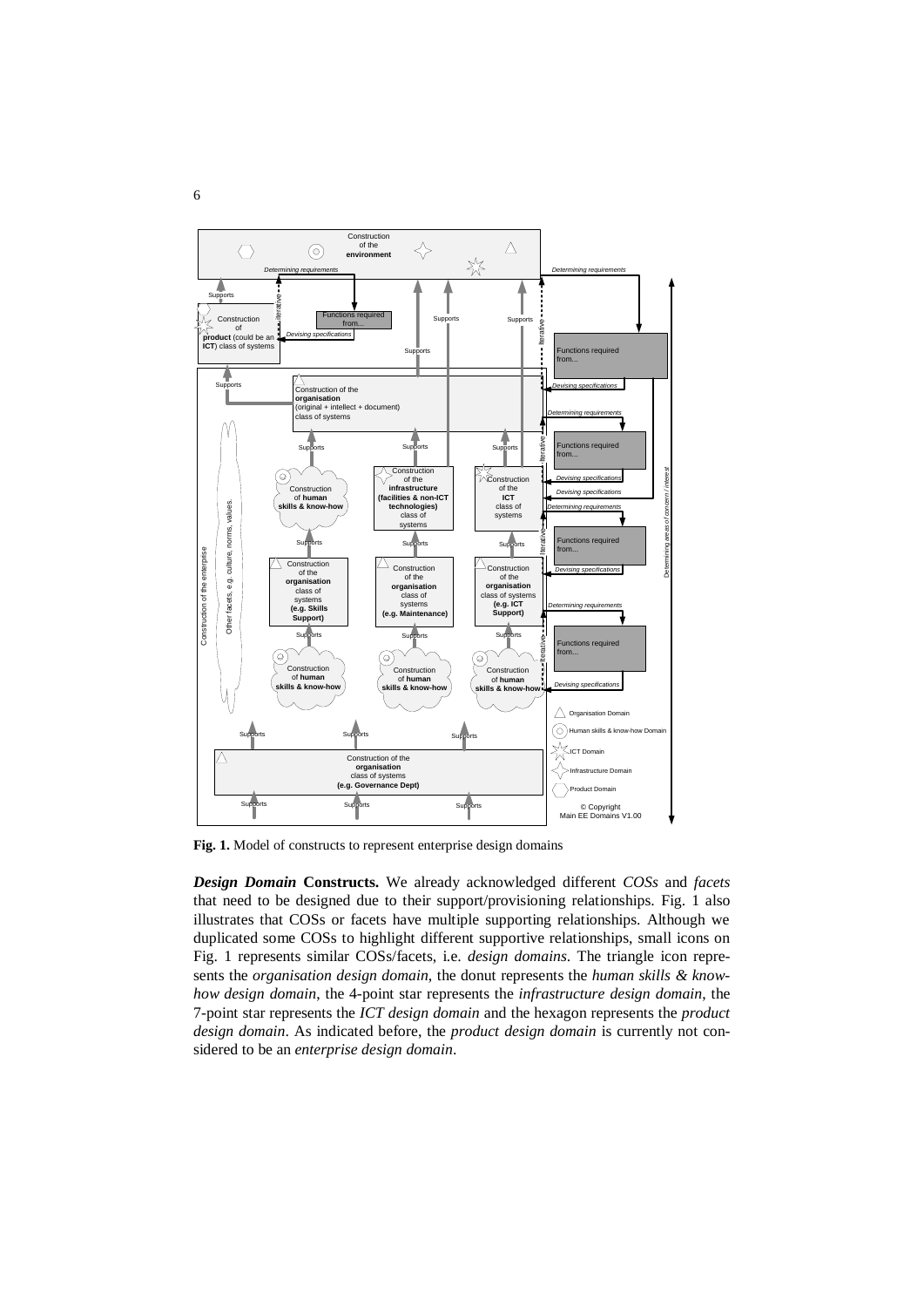

<span id="page-5-0"></span>**Fig. 1.** Model of constructs to represent enterprise design domains

*Design Domain* **Constructs.** We already acknowledged different *COSs* and *facets* that need to be designed due to their support/provisioning relationships. [Fig. 1](#page-5-0) also illustrates that COSs or facets have multiple supporting relationships. Although we duplicated some COSs to highlight different supportive relationships, small icons on [Fig. 1](#page-5-0) represents similar COSs/facets, i.e. *design domains*. The triangle icon represents the *organisation design domain*, the donut represents the *human skills & knowhow design domain*, the 4-point star represents the *infrastructure design domain*, the 7-point star represents the *ICT design domain* and the hexagon represents the *product design domain*. As indicated before, the *product design domain* is currently not considered to be an *enterprise design domain*.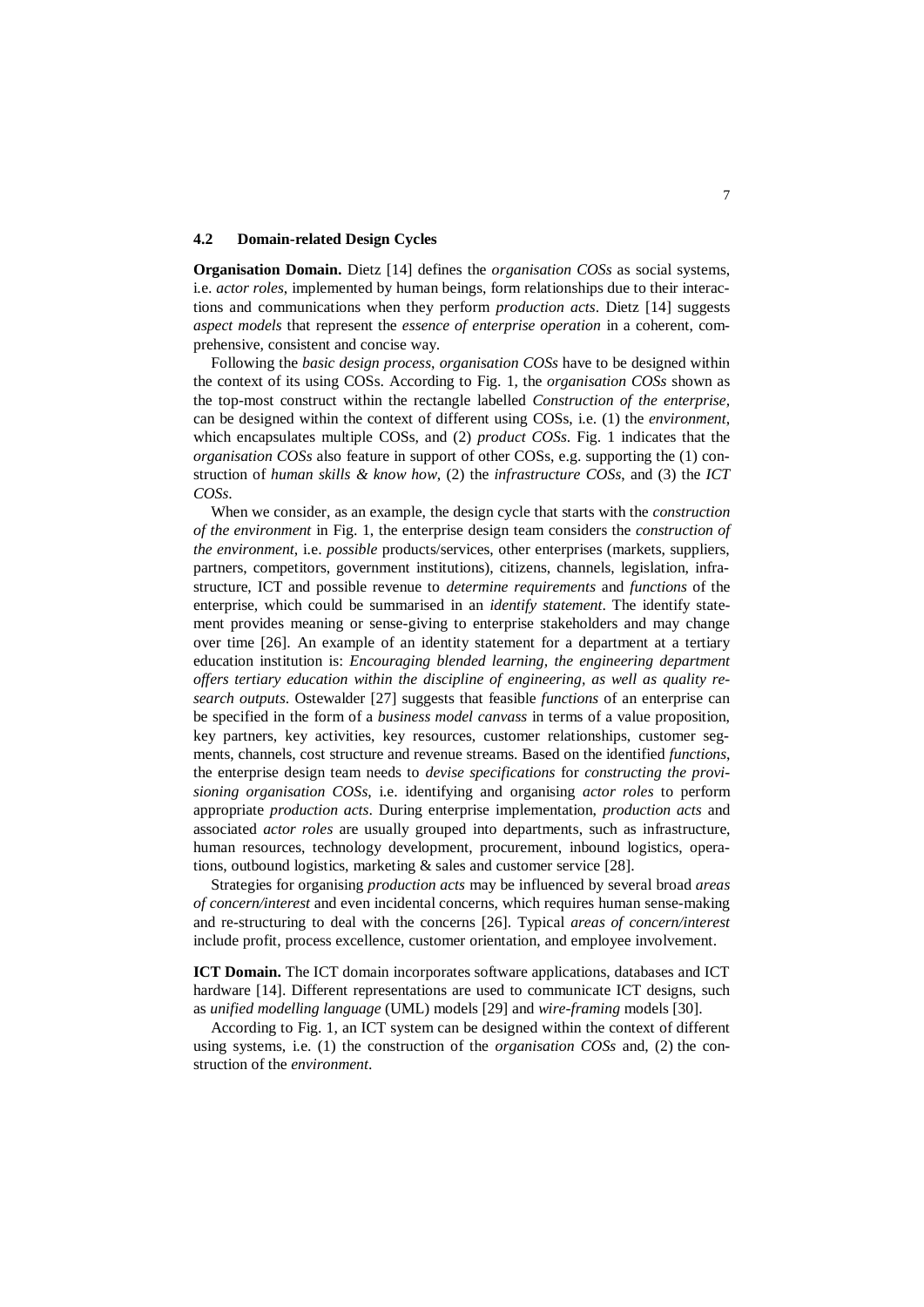#### **4.2 Domain-related Design Cycles**

**Organisation Domain.** Dietz [14] defines the *organisation COSs* as social systems, i.e. *actor roles*, implemented by human beings, form relationships due to their interactions and communications when they perform *production acts*. Dietz [14] suggests *aspect models* that represent the *essence of enterprise operation* in a coherent, comprehensive, consistent and concise way.

Following the *basic design process*, *organisation COSs* have to be designed within the context of its using COSs. According to [Fig. 1,](#page-5-0) the *organisation COSs* shown as the top-most construct within the rectangle labelled *Construction of the enterprise,* can be designed within the context of different using COSs, i.e. (1) the *environment*, which encapsulates multiple COSs, and (2) *product COSs*. [Fig. 1](#page-5-0) indicates that the *organisation COSs* also feature in support of other COSs, e.g. supporting the (1) construction of *human skills & know how*, (2) the *infrastructure COSs*, and (3) the *ICT COSs*.

When we consider, as an example, the design cycle that starts with the *construction of the environment* in [Fig. 1,](#page-5-0) the enterprise design team considers the *construction of the environment*, i.e. *possible* products/services, other enterprises (markets, suppliers, partners, competitors, government institutions), citizens, channels, legislation, infrastructure, ICT and possible revenue to *determine requirements* and *functions* of the enterprise, which could be summarised in an *identify statement*. The identify statement provides meaning or sense-giving to enterprise stakeholders and may change over time [26]. An example of an identity statement for a department at a tertiary education institution is: *Encouraging blended learning, the engineering department offers tertiary education within the discipline of engineering, as well as quality research outputs*. Ostewalder [27] suggests that feasible *functions* of an enterprise can be specified in the form of a *business model canvass* in terms of a value proposition, key partners, key activities, key resources, customer relationships, customer segments, channels, cost structure and revenue streams. Based on the identified *functions*, the enterprise design team needs to *devise specifications* for *constructing the provisioning organisation COSs*, i.e. identifying and organising *actor roles* to perform appropriate *production acts*. During enterprise implementation, *production acts* and associated *actor roles* are usually grouped into departments, such as infrastructure, human resources, technology development, procurement, inbound logistics, operations, outbound logistics, marketing  $\&$  sales and customer service [28].

Strategies for organising *production acts* may be influenced by several broad *areas of concern/interest* and even incidental concerns, which requires human sense-making and re-structuring to deal with the concerns [26]. Typical *areas of concern/interest* include profit, process excellence, customer orientation, and employee involvement.

**ICT Domain.** The ICT domain incorporates software applications, databases and ICT hardware [14]. Different representations are used to communicate ICT designs, such as *unified modelling language* (UML) models [29] and *wire-framing* models [30].

According to [Fig. 1,](#page-5-0) an ICT system can be designed within the context of different using systems, i.e. (1) the construction of the *organisation COSs* and, (2) the construction of the *environment*.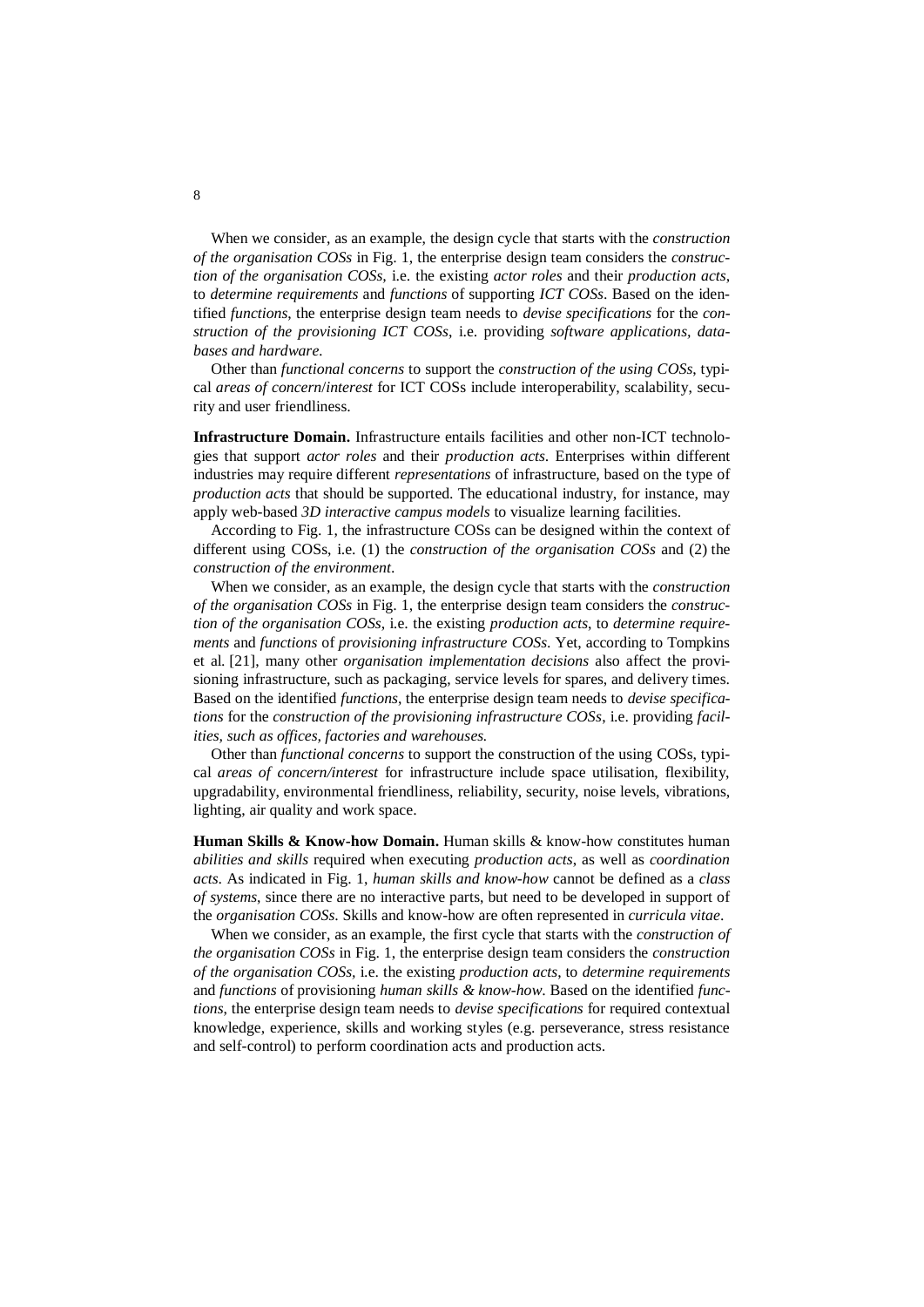When we consider, as an example, the design cycle that starts with the *construction of the organisation COSs* in [Fig. 1,](#page-5-0) the enterprise design team considers the *construction of the organisation COSs,* i.e. the existing *actor roles* and their *production acts*, to *determine requirements* and *functions* of supporting *ICT COSs*. Based on the identified *functions*, the enterprise design team needs to *devise specifications* for the *construction of the provisioning ICT COSs*, i.e. providing *software applications, databases and hardware.*

Other than *functional concerns* to support the *construction of the using COSs*, typical *areas of concern*/*interest* for ICT COSs include interoperability, scalability, security and user friendliness.

**Infrastructure Domain.** Infrastructure entails facilities and other non-ICT technologies that support *actor roles* and their *production acts*. Enterprises within different industries may require different *representations* of infrastructure, based on the type of *production acts* that should be supported. The educational industry, for instance, may apply web-based *3D interactive campus models* to visualize learning facilities.

According to [Fig. 1,](#page-5-0) the infrastructure COSs can be designed within the context of different using COSs, i.e. (1) the *construction of the organisation COSs* and (2) the *construction of the environment*.

When we consider, as an example, the design cycle that starts with the *construction of the organisation COSs* in [Fig. 1,](#page-5-0) the enterprise design team considers the *construction of the organisation COSs*, i.e. the existing *production acts*, to *determine requirements* and *functions* of *provisioning infrastructure COSs*. Yet, according to Tompkins et al. [21], many other *organisation implementation decisions* also affect the provisioning infrastructure, such as packaging, service levels for spares, and delivery times. Based on the identified *functions*, the enterprise design team needs to *devise specifications* for the *construction of the provisioning infrastructure COSs*, i.e. providing *facilities, such as offices, factories and warehouses.*

Other than *functional concerns* to support the construction of the using COSs, typical *areas of concern/interest* for infrastructure include space utilisation, flexibility, upgradability, environmental friendliness, reliability, security, noise levels, vibrations, lighting, air quality and work space.

**Human Skills & Know-how Domain.** Human skills & know-how constitutes human *abilities and skills* required when executing *production acts*, as well as *coordination acts*. As indicated in [Fig. 1,](#page-5-0) *human skills and know-how* cannot be defined as a *class of systems*, since there are no interactive parts, but need to be developed in support of the *organisation COSs*. Skills and know-how are often represented in *curricula vitae*.

When we consider, as an example, the first cycle that starts with the *construction of the organisation COSs* in [Fig. 1,](#page-5-0) the enterprise design team considers the *construction of the organisation COSs,* i.e. the existing *production acts*, to *determine requirements* and *functions* of provisioning *human skills & know-how*. Based on the identified *functions*, the enterprise design team needs to *devise specifications* for required contextual knowledge, experience, skills and working styles (e.g. perseverance, stress resistance and self-control) to perform coordination acts and production acts.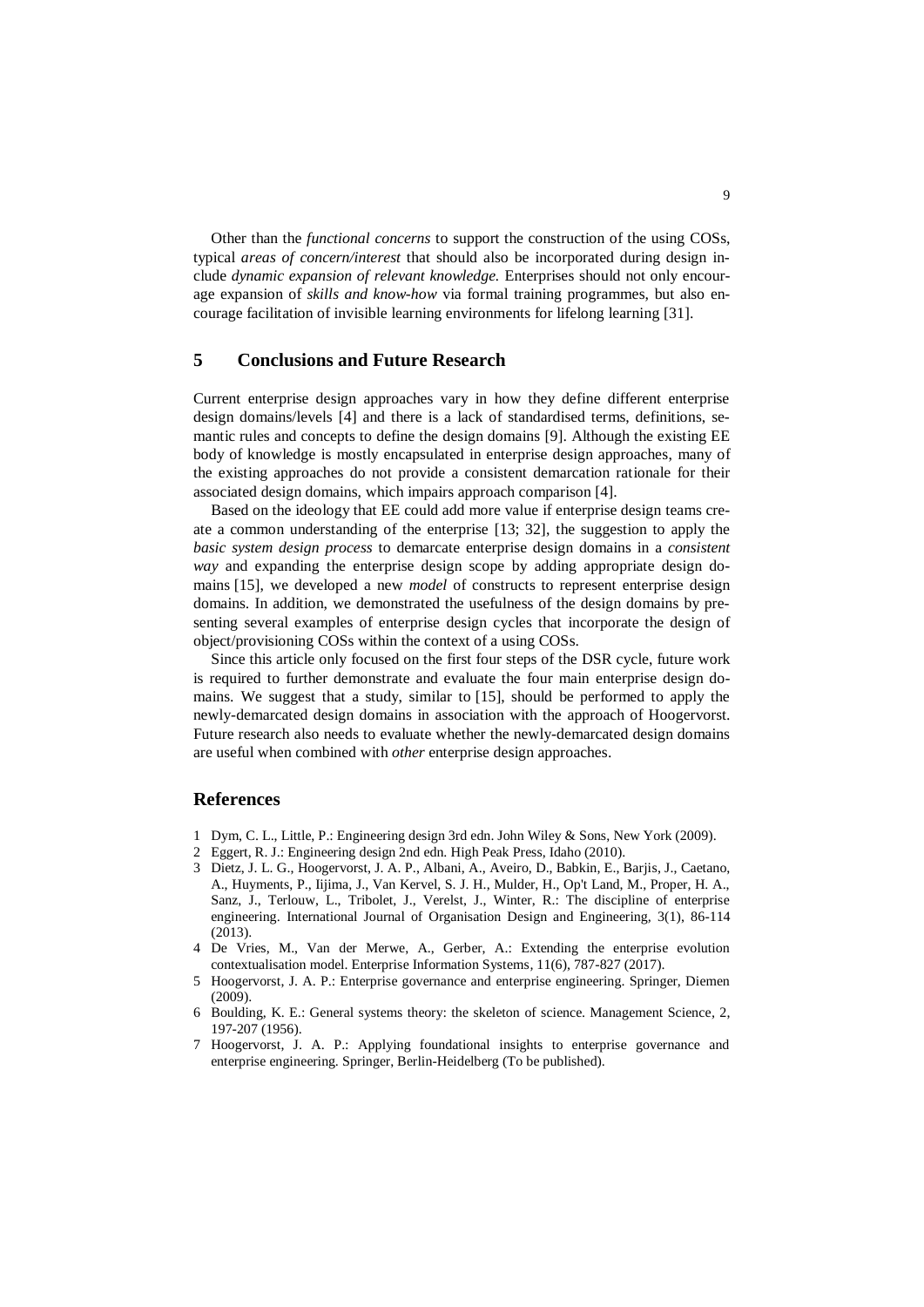Other than the *functional concerns* to support the construction of the using COSs, typical *areas of concern/interest* that should also be incorporated during design include *dynamic expansion of relevant knowledge.* Enterprises should not only encourage expansion of *skills and know-how* via formal training programmes, but also encourage facilitation of invisible learning environments for lifelong learning [31].

### <span id="page-8-0"></span>**5 Conclusions and Future Research**

Current enterprise design approaches vary in how they define different enterprise design domains/levels [4] and there is a lack of standardised terms, definitions, semantic rules and concepts to define the design domains [9]. Although the existing EE body of knowledge is mostly encapsulated in enterprise design approaches, many of the existing approaches do not provide a consistent demarcation rationale for their associated design domains, which impairs approach comparison [4].

Based on the ideology that EE could add more value if enterprise design teams create a common understanding of the enterprise [13; 32], the suggestion to apply the *basic system design process* to demarcate enterprise design domains in a *consistent way* and expanding the enterprise design scope by adding appropriate design domains [15], we developed a new *model* of constructs to represent enterprise design domains. In addition, we demonstrated the usefulness of the design domains by presenting several examples of enterprise design cycles that incorporate the design of object/provisioning COSs within the context of a using COSs.

Since this article only focused on the first four steps of the DSR cycle, future work is required to further demonstrate and evaluate the four main enterprise design domains. We suggest that a study, similar to [15], should be performed to apply the newly-demarcated design domains in association with the approach of Hoogervorst. Future research also needs to evaluate whether the newly-demarcated design domains are useful when combined with *other* enterprise design approaches.

#### **References**

- 1 Dym, C. L., Little, P.: Engineering design 3rd edn. John Wiley & Sons, New York (2009).
- 2 Eggert, R. J.: Engineering design 2nd edn. High Peak Press, Idaho (2010).
- 3 Dietz, J. L. G., Hoogervorst, J. A. P., Albani, A., Aveiro, D., Babkin, E., Barjis, J., Caetano, A., Huyments, P., Iijima, J., Van Kervel, S. J. H., Mulder, H., Op't Land, M., Proper, H. A., Sanz, J., Terlouw, L., Tribolet, J., Verelst, J., Winter, R.: The discipline of enterprise engineering. International Journal of Organisation Design and Engineering*,* 3(1), 86-114 (2013).
- 4 De Vries, M., Van der Merwe, A., Gerber, A.: Extending the enterprise evolution contextualisation model. Enterprise Information Systems*,* 11(6), 787-827 (2017).
- 5 Hoogervorst, J. A. P.: Enterprise governance and enterprise engineering. Springer, Diemen (2009).
- 6 Boulding, K. E.: General systems theory: the skeleton of science. Management Science*,* 2, 197-207 (1956).
- 7 Hoogervorst, J. A. P.: Applying foundational insights to enterprise governance and enterprise engineering. Springer, Berlin-Heidelberg (To be published).